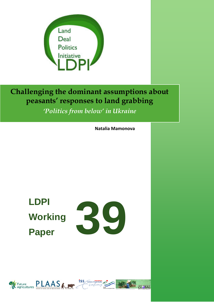

**Challenging the dominant assumptions about peasants' responses to land grabbing**

*'Politics from below' in Ukraine*

**Natalia Mamonova**

**LDPI Working Paper** 



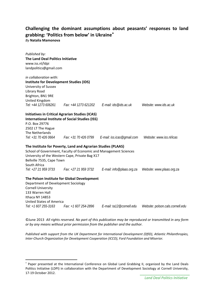# **Challenging the dominant assumptions about peasants' responses to land grabbing: 'Politics from below' in Ukraine**[∗](#page-1-0)

*By* **Natalia Mamonova**

 $\overline{\phantom{a}}$ 

| Published by:<br>The Land Deal Politics Initiative<br>www.iss.nl/ldpi<br>landpolitics@gmail.com        |                                                                                                                                                                                      |                                                   |                                  |
|--------------------------------------------------------------------------------------------------------|--------------------------------------------------------------------------------------------------------------------------------------------------------------------------------------|---------------------------------------------------|----------------------------------|
| in collaboration with:                                                                                 |                                                                                                                                                                                      |                                                   |                                  |
| <b>Institute for Development Studies (IDS)</b><br>University of Sussex<br>Library Road                 |                                                                                                                                                                                      |                                                   |                                  |
| Brighton, BN1 9RE                                                                                      |                                                                                                                                                                                      |                                                   |                                  |
| United Kingdom<br>Tel: +44 1273 606261                                                                 |                                                                                                                                                                                      | Fax: +44 1273 621202    E-mail: ids@ids.ac.uk     | Website: www.ids.ac.uk           |
|                                                                                                        | <b>Initiatives in Critical Agrarian Studies (ICAS)</b>                                                                                                                               |                                                   |                                  |
|                                                                                                        | <b>International Institute of Social Studies (ISS)</b>                                                                                                                               |                                                   |                                  |
| P.O. Box 29776                                                                                         |                                                                                                                                                                                      |                                                   |                                  |
| 2502 LT The Hague                                                                                      |                                                                                                                                                                                      |                                                   |                                  |
| The Netherlands<br>Tel: +31 70 426 0664                                                                |                                                                                                                                                                                      | Fax: +31 70 426 0799   E-mail: iss.icas@gmail.com | Website: www.iss.nl/icas         |
| Bellville 7535, Cape Town<br>South Africa                                                              | The Institute for Poverty, Land and Agrarian Studies (PLAAS)<br>School of Government, Faculty of Economic and Management Sciences<br>University of the Western Cape, Private Bag X17 |                                                   |                                  |
| Tel: +27 21 959 3733                                                                                   | Fax: +27 21 959 3732                                                                                                                                                                 | E-mail: info@plaas.org.za                         | Website: www.plaas.org.za        |
| Department of Development Sociology<br><b>Cornell University</b><br>133 Warren Hall<br>Ithaca NY 14853 | The Polson Institute for Global Development                                                                                                                                          |                                                   |                                  |
| <b>United States of America</b>                                                                        |                                                                                                                                                                                      |                                                   |                                  |
| Tel: +1 607 255-3163                                                                                   | Fax: +1 607 254-2896                                                                                                                                                                 | E-mail: ta12@cornell.edu                          | Website: polson.cals.cornell.edu |

©June 2013 *All rights reserved. No part of this publication may be reproduced or transmitted in any form or by any means without prior permission from the publisher and the author.*

*Published with support from the UK Department for International Development (DfID), Atlantic Philanthropies, Inter-Church Organization for Development Cooperation (ICCO), Ford Foundation and Miserior.*

<span id="page-1-0"></span><sup>∗</sup> Paper presented at the International Conference on Global Land Grabbing II, organized by the Land Deals Politics Initiative (LDPI) in collaboration with the Department of Development Sociology at Cornell University, 17-19 October 2012.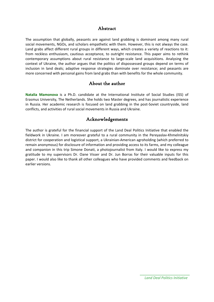# Abstract

The assumption that globally, peasants are against land grabbing is dominant among many rural social movements, NGOs, and scholars empathetic with them. However, this is not always the case. Land grabs affect different rural groups in different ways, which creates a variety of reactions to it: from reckless enthusiasm, cautious acceptance, to outright resistance. This paper aims to rethink contemporary assumptions about rural resistance to large-scale land acquisitions. Analysing the context of Ukraine, the author argues that the politics of dispossessed groups depend on terms of inclusion in land deals; adaptive response strategies dominate over resistance; and peasants are more concerned with personal gains from land grabs than with benefits for the whole community.

## About the author

**Natalia Mamonova** is a Ph.D. candidate at the International Institute of Social Studies (ISS) of Erasmus University, The Netherlands. She holds two Master degrees, and has journalistic experience in Russia. Her academic research is focused on land grabbing in the post-Soviet countryside, land conflicts, and activities of rural social movements in Russia and Ukraine.

# Acknowledgements

The author is grateful for the financial support of the Land Deal Politics Initiative that enabled the fieldwork in Ukraine. I am moreover grateful to a rural community in the Pereyaslav-Khmelnitskiy district for cooperation and logistical support, a Ukrainian-American agroholding (which preferred to remain anonymous) for disclosure of information and providing access to its farms, and my colleague and companion in this trip Simone Donati, a photojournalist from Italy. I would like to express my gratitude to my supervisors Dr. Oane Visser and Dr. Jun Borras for their valuable inputs for this paper. I would also like to thank all other colleagues who have provided comments and feedback on earlier versions.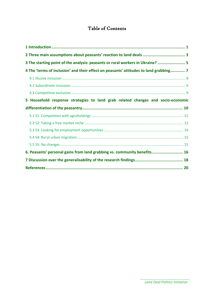# Table of Contents

| 2 Three main assumptions about peasants' reaction to land deals  3                    |  |
|---------------------------------------------------------------------------------------|--|
| 3 The starting point of the analysis: peasants or rural workers in Ukraine?  5        |  |
| 4 The 'terms of inclusion' and their effect on peasants' attitudes to land grabbing 7 |  |
|                                                                                       |  |
|                                                                                       |  |
|                                                                                       |  |
| 5 Household response strategies to land grab related changes and socio-economic       |  |
|                                                                                       |  |
|                                                                                       |  |
|                                                                                       |  |
|                                                                                       |  |
|                                                                                       |  |
|                                                                                       |  |
| 6. Peasants' personal gains from land grabbing vs. community benefits 16              |  |
|                                                                                       |  |
|                                                                                       |  |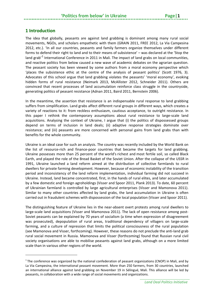## <span id="page-4-0"></span>**1 Introduction**

**.** 

The idea that globally, peasants are against land grabbing is dominant among many rural social movements, NGOs, and scholars empathetic with them (GRAIN 2011, FREE 2012, La Via Campesina 2012, etc.). 'In all our countries, peasants and family farmers organize themselves under different forms to defend their right to land and to their means of subsistence' – was declared at the 'Stop the land grab'<sup>[1](#page-4-1)</sup> International Conference in 2011 in Mali. The impact of land grabs on local communities, and reactive politics from below caused a new wave of academic debates on the agrarian question. The peasant society has been viewed by some authors from a moral economy perspective which 'places the subsistence ethic at the centre of the analysis of peasant politics' (Scott 1976, 3). Advocates of this school argue that land grabbing violates the peasants' 'moral economy', evoking hidden forms of rural resistance (Neimark 2013, McAllister 2012, Schneider 2011). Others are convinced that recent processes of land accumulation reinforce class struggle in the countryside, generating politics of peasant resistance (Adnan 2011, Baird 2011, Bernstein 2006).

In the meantime, the assertion that resistance is an indispensable rural response to land grabbing suffers from simplification. Land grabs affect different rural groups in different ways, which creates a variety of reactions to it: from reckless enthusiasm, cautious acceptance, to outright resistance. In this paper I rethink the contemporary assumptions about rural resistance to large-scale land acquisitions. Analysing the context of Ukraine, I argue that (i) the politics of dispossessed groups depend on terms of inclusion in land deals; (ii) adaptive response strategies dominate over resistance; and (iii) peasants are more concerned with personal gains from land grabs than with benefits for the whole community.

Ukraine is an ideal case for such an analysis. The country was recently included by the World Bank on the list of resource-rich and finance-poor countries that became the targets for land grabbing. Ukraine possesses more than 25 percent of the world's richest and most fertile soil, so called Black Earth, and played the role of the Bread Basket of the Soviet Union. After the collapse of the USSR in 1991, Ukraine launched a land reform aimed at the distribution of collective farmlands to rural dwellers for private farming development. However, because of economic instability of the transition period and inconsistency of the land reform implementation, individual farming did not succeed in Ukraine. Instead, land became concentrated, first, in the hands of rural elites, and later accumulated by a few domestic and foreign agroholdings (Visser and Spoor 2011, Plank 2013). To date, 60 percent of Ukrainian farmland is controlled by large agricultural enterprises (Visser and Mamonova 2011). Similar to many other countries affected by land grabs, the land accumulation in Ukraine is often carried out in fraudulent schemes with dispossession of the local population (Visser and Spoor 2011).

The distinguishing feature of Ukraine lies in the near-absent overt protests among rural dwellers to large-scale land acquisitions (Visser and Mamonova 2011). The lack of open resistance among post-Soviet peasants can be explained by 70 years of socialism (a time when expression of disagreement was prosecuted), depopulation of rural areas, traditional dependency of villagers on large-scale farming, and a culture of repression that limits the political consciousness of the rural population (see Mamonova and Visser, forthcoming). However, these reasons do not preclude the anti-land grab rural social movement in Russia. Mamonova and Visser (forthcoming) found that Russian rural civil society organisations are able to mobilise peasants against land grabs, although on a more limited scale than in various other regions of the world.

<span id="page-4-1"></span> $1$  The conference was organized by the national confederation of peasant organizations (CNOP) in Mali, and by La Via Campesina, the international peasant movement. More than 250 farmers, from 30 countries, launched an international alliance against land grabbing on November 19 in Sélingué, Mali. This alliance will be led by peasants, in collaboration with a wide range of social movements and organizations.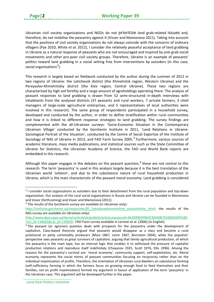Ukrainian civil society organisations and NGOs do not prioritize land grab-related issues and, therefore, do not mobilise the peasantry against it (Visser and Mamonova 2011). Taking into account that the positions of civil society organisations do not always coincide with the concerns of ordinary villagers (Pye 2010, White *et al*. 2012), I consider the relatively peaceful acceptance of land grabbing in Ukraine as a natural response of peasants who are not encouraged and inspired by anti-grab social movements and other pro-poor civil society groups. Therefore, Ukraine is an example of peasants' politics toward land grabbing in a social setting free from interventions by outsiders (in this case, social organisations<sup>[2](#page-5-0)</sup>).

This research is largely based on fieldwork conducted by the author during the summer of 2012 in two regions of Ukraine: the Letichevsk district (the Khmelnitsk region, Western Ukraine) and the Pereyaslav-Khmelnitskiy district (the Kiev region, Central Ukraine). These two regions are characterised by high soil fertility and a large amount of agroholdings operating there. The analysis of peasant responses to land grabbing is drawn from 52 semi-structured in-depth interviews with inhabitants from the analysed districts (37 peasants and rural workers, 7 private farmers, 3 chief managers of large-scale agricultural enterprises, and 5 representatives of local authorities were involved in this research). The same group of respondents participated in a household survey, developed and conducted by the author, in order to define stratification within rural communities and how it is linked to different response strategies to land grabbing. The survey findings are complemented with the all-Ukrainian surveys: 'Socio-Economic Situation in the Contemporary Ukrainian Village' conducted by the Gorshenin Institute in 2011, 'Land Relations in Ukraine: Sociological Portrait of the Situation', conducted by the Centre of Social Expertise of the Institute of Sociology of NAS of Ukraine in 201[3](#page-5-1), and FAO Farm Survey 2005.<sup>3</sup> Furthermore, various sources of academic literature, mass media publications, and statistical sources such as the State Committee of Ukraine for Statistics, the Ukrainian Academy of Science, the FAO and World Bank reports are embedded in this research.

Although this paper engages in the debates on the peasant question,<sup>[4](#page-5-2)</sup> these are not central to this research. The term 'peasantry' is used in this analysis largely because it is the best translation of the Ukrainian world '*selianin*', and due to the subsistence nature of rural household production in Ukraine, which is the main characteristic of the peasant moral economy. Land grabbing is considered

<span id="page-5-0"></span><sup>&</sup>lt;sup>2</sup> I consider social organizations as outsiders due to their detachment from the rural population and top-down organization. Our analysis of the rural social organizations in Russia and Ukraine can be founded in Mamonova and Visser (forthcoming) and Visser and Mamonova (2011).

<span id="page-5-1"></span> $3$  The results of the Gorshenin survey are available (in Ukrainian only):

[http://institute.gorshenin.ua/researches/81\\_Sotsialnoekonomichne\\_stanovishche\\_.html](http://institute.gorshenin.ua/researches/81_Sotsialnoekonomichne_stanovishche_.html); the results of the NAS survey are available (in Ukrainian only):

[http://www.dazru.gov.ua/terra/control/uk/publish/article;jsessionid=4A3099EDFB03CBDA0B75C604240F01B2](http://www.dazru.gov.ua/terra/control/uk/publish/article;jsessionid=4A3099EDFB03CBDA0B75C604240F01B2?art_id=144665&cat_id=130839) [?art\\_id=144665&cat\\_id=130839](http://www.dazru.gov.ua/terra/control/uk/publish/article;jsessionid=4A3099EDFB03CBDA0B75C604240F01B2?art_id=144665&cat_id=130839); FAO Farm survey available in Lerman et al. (2006) (in English).

<span id="page-5-2"></span> $4$ The peasant (or agrarian) question deals with prospects for the peasantry under the development of capitalism. Class-based theorists argued that peasants would disappear as a class and become a rural proletariat or petty commodity producers (Marx 1867, Lenin 1967, Bernstein 2004), while the populists' perspective sees peasants as great survivors of capitalism, arguing that family agricultural production, of which the peasantry is the main type, has an internal logic that enables it to withstand the pressure of capitalist production relations and reproduce itself indefinitely (Chayanov 1925, Scott 1976, Ellis 1996). Among the reasons for the peasantry's survival are: 'moral economy', community support, self-exploitation, etc. Moral economy represents the social norms of peasant communities focusing on reciprocity rather than on the individual maximization of profits. Therefore, the orientation of Ukrainian rural dwellers on subsistence farming (self-sufficiency farming in which the farmers focus on growing enough food to feed themselves and their families, not on profit maximisation) formed my argument in favour of application of the term 'peasantry' in the Ukrainian case. This argument will be developed further in the paper.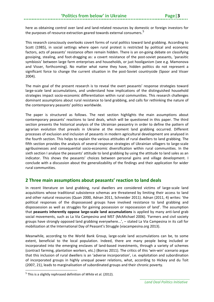here as obtaining control over land and land-related resources by domestic or foreign investors for the purposes of resource extraction geared towards external consumers.<sup>[5](#page-6-1)</sup>

This research consciously overlooks covert forms of rural politics toward land grabbing. According to Scott (1985), in social settings where open rural protest is restricted by political and economic factors, acts of peasants' resistance often remain hidden. There is an on-going debate on classifying gossiping, stealing, and foot-dragging as: a covert resistance of the post-soviet peasants, 'parasitic symbiosis' between large farm enterprises and households, or just hooliganism (see e.g. Mamonova and Visser, forthcoming). No matter what name they have, hidden politics do not represent a significant force to change the current situation in the post-Soviet countryside (Spoor and Visser 2004).

The main goal of the present research is to reveal the overt peasants' response strategies toward large-scale land accumulations, and understand how implications of the distinguished household strategies impact socio-economic differentiation within rural communities. This research challenges dominant assumptions about rural resistance to land grabbing, and calls for rethinking the nature of the contemporary peasants' politics worldwide.

The paper is structured as follows. The next section highlights the main assumptions about contemporary peasants' reactions to land deals, which will be questioned in this paper. The third section presents the historical analysis of the Ukrainian peasantry in order to define the pattern of agrarian evolution that prevails in Ukraine at the moment land grabbing occurred. Different processes of exclusion and inclusion of peasants in modern agricultural development are analysed in the fourth section. This helps to explain the various attitudes of rural dwellers to land grabbing. The fifth section provides the analysis of several response strategies of Ukrainian villagers to large-scale agribusinesses and consequential socio-economic diversification within rural communities. In the sixth section I analyse the peasants' attitude to land grabbing by using the attitude to land sales as an indicator. This shows the peasants' choices between personal gains and village development. I conclude with a discussion about the generalizability of the findings and their application for wider rural communities.

### <span id="page-6-0"></span>**2 Three main assumptions about peasants' reaction to land deals**

In recent literature on land grabbing, rural dwellers are considered victims of large-scale land acquisitions whose traditional subsistence schemas are threatened by limiting their access to land and other natural resources (Quan 2000, Adnan 2011, Schneider 2011). Adnan (2011, 4) writes: 'the political responses of the dispossessed groups have involved resistance to land grabbing and dispossession as well as struggles for gaining possession or repossession of land'. The assumption that **peasants inherently oppose large-scale land accumulations** is applied by many anti-land grab social movements, such as La Via Campesina and MST (McMichael 2006). 'Farmers and civil society groups have strongly opposed land grabbing everywhere...', – stated La Via Campesina in its call for mobilization at the International Day of Peasant's Struggle (viacampesina.org 2013).

Meanwhile, according to the World Bank Group, large-scale land accumulations can be, to some extent, beneficial to the local population. Indeed, there are many people being included or incorporated into the emerging enclaves of land-based investments, through a variety of schemes (contract farming, plantation workers, etc.) (Borras 2011). The critics of this 'win-win' scenario argue that this inclusion of rural dwellers is an 'adverse incorporation', i.e. exploitation and subordination of incorporated groups in highly unequal power relations, what, according to Hickey and du Toit (2007, 21), leads to marginalisation of subordinated groups and their chronic poverty.

<span id="page-6-1"></span><sup>5</sup> This is a slightly rephrased definition of *White* et al. (2012).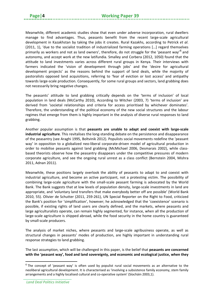Meanwhile, different academic studies show that even under adverse incorporation, rural dwellers manage to find advantages. Thus, peasants benefit from the recent large-scale agricultural development in Kazakhstan by taking the jobs it creates. Rural Kazakhs, according to Petrick *et al*. (2011, 1), 'due to the socialist tradition of industrialized farming operations […] regard themselves primarily as workers and not as land owners', therefore, do not struggle for the 'peasant way'<sup>[6](#page-7-0)</sup> and autonomy, and accept work at the new latifundia. Smalley and Corbera (2012, 1050) found that the attitude to land investments varies across different rural groups in Kenya. Their interviews with farmers indicated the 'vision of development through jobs' and the 'desire for agricultural development projects' as the reasons behind the support of land deals, while the majority of pastoralists opposed land acquisitions, referring to 'fear of eviction or lost access' and antipathy towards large-scale production. Consequently, for some rural groups and sectors, land grabbing does not necessarily bring negative changes.

The peasants' attitude to land grabbing critically depends on the 'terms of inclusion' of local population in land deals (McCarthy 2010), According to Witcher (2003, 7) 'terms of inclusion' are derived from 'societal relationships and criteria for access prioritised by whichever dominates'. Therefore, the understanding of the political economy of the new social structures and the labour regimes that emerge from them is highly important in the analysis of diverse rural responses to land grabbing.

Another popular assumption is that **peasants are unable to adapt and coexist with large-scale industrial agriculture**. This revitalises the long-standing debate on the persistence and disappearance of the peasantry (see Araghi 1995, Boltvinik 2012). Populists social movements redefine the 'peasant way' in opposition to a globalized neo-liberal corporate-driven model of agricultural production in order to mobilise peasants against land grabbing (McMichael 2006, Desmarais 2002), while classbased theorists observe how the peasantry disappears under the competitive pressures of modern corporate agriculture, and see the ongoing rural unrest as a class conflict (Bernstein 2004, Mishra 2011, Adnan 2011).

Meanwhile, these positions largely overlook the ability of peasants to adapt to and coexist with industrial agriculture, and become an active participant, not a protesting victim. The possibility of combining large-scale agriculture with the small-scale peasant farming is advocated by the World Bank. The Bank suggests that at low levels of population density, large-scale investments in land are appropriate, and 'voluntary land transfers that make everybody better off are possible' (World Bank 2010, 55). Olivier de Schutter (2011, 259-261), UN Special Reporter on the Right to Food, criticized the Bank's position for 'simplification', however; he acknowledged that the 'coexistence' scenario is possible, if existing rights of land users are clearly defined, and the markets, where peasants and large agriculturalists operate, can remain highly segmented, for instance, when all the production of large-scale agriculture is shipped abroad, while the food security in the home country is guaranteed by small-scale producers.

The analysis of market niches, where peasants and large-scale agribusiness operate, as well as structural changes in peasants' modes of production, are highly important in understanding rural response strategies to land grabbing.

The last assumption, which will be challenged in this paper, is the belief that **peasants are concerned with the 'peasant way', food and land sovereignty, and economic and ecological justice, when they** 

<span id="page-7-0"></span><sup>6</sup> The concept of 'peasant way' is often used by populist rural social movements as an alternative to the neoliberal agricultural development. It is characterised as 'involving a subsistence family economy, stem family arrangements and a highly localised cultural and co-operative system' (Síocháin 2003,1).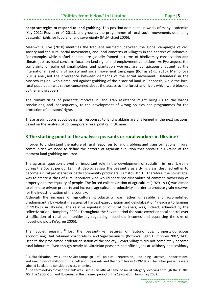**adopt strategies to respond to land grabbing.** This position dominates in works of many academics (Kay 2012, Rosset *et al.* 2011), and grounds the programmes of rural social movements defending peasants' rights for food and land sovereignty (McMichael 2006).

Meanwhile, Pye (2010) identifies the frequent mismatch between the global campaigns of civil society and the rural social movements, and local concerns of villagers in the context of Indonesia. For example, while biofuel debates are globally framed in terms of biodiversity conservation and climate justice, local concerns focus on land rights and employment conditions. As Pye argues, the complaints of palm oil smallholders and plantation workers are conspicuously absent at the international level of civil society and social movement campaigns (Borras *et al.* 2010). Mamonova (2013) analysed the divergence between demands of the social movement 'Defenders' in the Moscow region, who clamoured against grabbing of the historical land in Radonezh, while the local rural population was rather concerned about the access to the forest and river, which were blocked by the land grabbers.

The romanticizing of peasants' motives in land grab resistance might bring us to the wrong conclusions, and, consequently, to the development of wrong policies and programmes for the protection of peasants' rights.

These assumptions about peasants' responses to land grabbing are challenged in the next sections, based on the analysis of contemporary rural politics in Ukraine.

# <span id="page-8-0"></span>**3 The starting point of the analysis: peasants or rural workers in Ukraine?**

In order to understand the nature of rural responses to land grabbing and transformations in rural communities we need to define the pattern of agrarian evolution that prevails in Ukraine at the moment land grabbing occurred.

The agrarian question played an important role in the development of socialism in rural Ukraine during the Soviet period. Leninist ideologies saw the peasantry as a dying class, destined either to become a rural proletariat or petty commodity producers (Zemstov 1991). Therefore, the Soviet goal was to create a class of rural labourers who would share socialist values of common ownership of property and the equality of people. The forced collectivization of agriculture (1929-1933) was aimed to eliminate private property and increase agricultural productivity in order to produce grain reserves for the industrialization of the country.

Although the increase of agricultural productivity was rather unfeasible and accomplished predominantly by violent measures of harvest expropriation and dekulakisation<sup>[7](#page-8-1)</sup> (leading to famines in 1931-32 in Ukraine), the relative equalisation of rural dwellers, was, indeed, achieved by the collectivization (Humphrey 2002). Throughout the Soviet period the state exercised total control over stratification of rural communities by regulating household incomes and equalising the size of household plots (Wegren 2005).

The 'Soviet peasant' <sup>[8](#page-8-2)</sup> lost the peasant-like features of 'autonomous, property-conscious economising', but retained 'corporatism' and 'egalitarianism' (Koznova 1997, Humphrey 2002, 141). Despite the proclaimed proletarianisation of the society, Soviet villagers did not completely become rural labourers. Even though nearly all Ukrainian peasants had official jobs at kolkhozy and sovkhozy

 $\overline{\phantom{a}}$ 

<span id="page-8-1"></span> $7$  Dekulakisation was the Soviet campaign of political repression, including arrests, deportations, and executions of millions of the better-off peasants and their families in 1929-1932. The richer peasants were labeled kulaks and considered class enemies.

<span id="page-8-2"></span> $8$  The terminology 'Soviet peasant' was used as an official name of social category, evolving through the 1930s-40s, the 1950s-60s, and flowering in the Breznev period of the 1970s-80s (Humphrey 2002).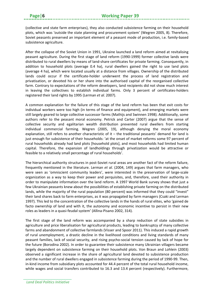(collective and state farm enterprises), they also conducted subsistence farming on their household plots, which was 'outside the state planning and procurement system' (Wegren 2005, 8). Therefore, Soviet peasants preserved an important element of a peasant mode of production, i.e. family-based subsistence agriculture.

After the collapse of the Soviet Union in 1991, Ukraine launched a land reform aimed at revitalising peasant agriculture. During the first stage of land reform (1990-1999) former collective lands were distributed to rural dwellers by means of land-share certificates for private farming. Consequently, in addition to household plots (average 0.4 ha), rural dwellers gained the right to use land plots (average 4 ha), which were located usually at a distance from villages. Ownership of the distributed lands could occur if the certificate-holder underwent the process of land registration and privatisation, or devoted his or her share into the authorised capital of the reorganised collective farm. Contrary to expectations of the reform developers, land recipients did not show much interest in leaving the collectives to establish individual farms. Only 3 percent of certificates-holders registered their land rights by 1995 (Lerman *et al.* 2007).

A common explanation for the failure of this stage of the land reform has been that exit costs for individual workers were too high (in terms of finance and equipment), and emerging markets were still largely geared to large collective successor farms (Mathijs and Swinnen 1998). Additionally, some authors refer to the peasant moral economy. Petrick and Carter (2007) argue that the sense of collective security and egalitarian wealth distribution prevented rural dwellers from starting individual commercial farming. Wegren (2005, 19), although denying the moral economy explanation, still refers to another characteristic of it – the traditional peasants' demand for land is just enough for subsistence of their households: 'at the onset of market reforms some 97 percent of rural households already had land plots [household plots], and most households had limited human capital. Therefore, the expansion of landholdings through privatization would be attractive or feasible to a relatively small percentage of rural households'.

The hierarchical authority structures in post-Soviet rural areas are another fact of the reform failure, frequently mentioned in the literature. Lerman *et al.* (2004, 149) argues that farm managers, who were seen as 'omniscient community leaders', were interested in the preservation of large-scale organization as a way to keep their power and perquisites, and, therefore, used their authority in order to manipulate information over the land reform. A 1997 World Bank survey shows that just a few Ukrainian peasants knew about the possibilities of establishing private farming on the distributed lands, while the majority of the rural population (80 percent) was informed that they could "invest" their land shares back to farm enterprises, as it was propagated by farm managers (Csaki and Lerman 1997). This led to the concentration of the collective lands in the hands of rural elites, who 'gained de facto ownership of land and with it, the autonomy and economic incentive to persist in their new roles as leaders in a quasi-feudal system' (Allina-Pisano 2002, 314).

The first stage of the land reform was accompanied by a sharp reduction of state subsidies in agriculture and price liberalisation for agricultural products, leading to bankruptcy of many collective farms and abandonment of collective farmlands (Visser and Spoor 2011). This induced a rapid growth of rural unemployment, a drastic decline in the livelihood conditions and living standards of many peasant families, lack of social security, and rising psycho-social tension caused by lack of hope for the future (Borodina 2002). In order to guarantee their subsistence many Ukrainian villagers became largely dependent on subsistence farming on their household plots. Von Braun and Lohlein (2003) observed a significant increase in the share of agricultural land devoted to subsistence production and the number of rural dwellers engaged in subsistence farming during the period of 1990-99. Then, in-kind income from subsidiary plots accounted for 44.4 percent of the total rural household income, while wages and social transfers contributed to 16.3 and 13.4 percent (respectively). Furthermore,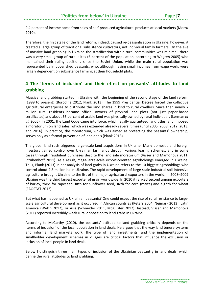9.4 percent of income came from sales of self-produced agricultural products at local markets (Moroz 2010).

Therefore, the first stage of the land reform, indeed, caused re-peasantisation in Ukraine; however, it created a large group of traditional subsistence cultivators, not individual family farmers. On the eve of massive land grabbing in Ukraine the stratification within rural communities was minimal: there was a very small group of rural elites (5 percent of the population, according to Wegren 2005) who maintained their ruling positions since the Soviet Union, while the main rural population was represented by impoverished peasants, who, although having small incomes from wage work, were largely dependent on subsistence farming at their household plots.

# <span id="page-10-0"></span>**4 The 'terms of inclusion' and their effect on peasants' attitudes to land grabbing**

Massive land grabbing started in Ukraine with the beginning of the second stage of the land reform (1999 to present) (Borodina 2012, Plank 2013). The 1999 Presidential Decree forced the collective agricultural enterprises to distribute the land shares in kind to rural dwellers. Since then nearly 7 million rural residents became official owners of physical land plots (not just paper-based certificates) and about 65 percent of arable land was physically owned by rural individuals (Lerman *et al.* 2006). In 2001, the Land Code came into force, which legally guaranteed land titles, and imposed a moratorium on land sales, which was extended already several times (until 2005, 2008, 2012, 2013, and 2016). In practice, the moratorium, which was aimed at protecting the peasants' ownership, serves only as a formal prevention of land deals (Plank 2013).

The global land rush triggered large-scale land acquisitions in Ukraine. Many domestic and foreign investors gained control over Ukrainian farmlands through various leasing schemes, and in some cases through fraudulent purchases despite the land sale moratorium (Visser and Mamonova 2011, Strubenhoff 2011). As a result, mega-large-scale export-oriented agroholdings emerged in Ukraine. Thus, Plank (2013) in her analysis of land grabs in Ukraine refers to the 10 biggest agroholdings who control about 2.8 million ha in Ukraine. The rapid development of large-scale industrial soil-intensive agriculture brought Ukraine to the list of the major agricultural exporters in the world. In 2008–2009 Ukraine was the third largest exporter of grain worldwide. In 2010 it ranked second among exporters of barley, third for rapeseed, fifth for sunflower seed, sixth for corn (maize) and eighth for wheat (FAOSTAT 2012).

But what has happened to Ukrainian peasants? One could expect the rise of rural resistance to largescale agricultural development as it occurred in African countries (Peters 2004, Neimark 2013), Latin America (Welch 2012), or Asia (Schneider 2011, McAllister 2012). Instead, Visser and Mamonova (2011) reported incredibly weak rural opposition to land grabs in Ukraine.

According to McCarthy (2010), the peasants' attitude to land grabbing critically depends on the 'terms of inclusion' of the local population in land deals. He argues that the way land tenure systems and informal land markets work, the type of land investments, and the implementation of smallholder development schemes in villages are critical factors that influence the exclusion or inclusion of local people in land deals.

Below I distinguish three main types of inclusion of the Ukrainian peasantry in land deals, which define the rural attitudes to land grabbing.

*Land Deal Politics Initiative*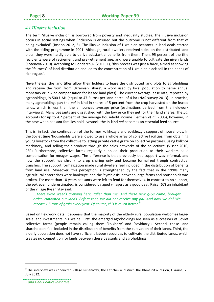# <span id="page-11-0"></span>*4.1 Illusive inclusion*

The term 'illusive inclusion' is borrowed from poverty and inequality studies. The illusive inclusion occurs in social settings when 'inclusion is ensured but the outcome is not different from that of being excluded' (Joseph 2012, 6). The illusive inclusion of Ukrainian peasants in land deals started with the titling programme in 2001. Although, rural dwellers received titles on the distributed land plots, they were hardly able to derive substantial benefits from them. Then, 95 percent of the title recipients were of retirement and pre-retirement age, and were unable to cultivate the given lands (Koteneva 2010). According to Bondarchuk (2011, 1), 'this process was just a farce, aimed at showing the "fairness" of land distribution and led to the concentration of Ukrainian black soil in the hands of rich rogues'.

Nevertheless, the land titles allow their holders to lease the distributed land plots to agroholdings and receive the '*pai'* (from Ukrainian 'share', a word used by local population to name annual monetary or in-kind compensation for leased land plots). The current average lease rate, reported by agroholdings, is 500 UAH (equal to 47 Euros) per land parcel of 4 ha (NAS survey 2013). In practice, many agroholdings pay the *pai* in-kind in shares of 5 percent from the crop harvested on the leased lands, which is less than the announced average price (estimations derived from the fieldwork interviews). Many peasants are dissatisfied with the low price they get for their land shares. The *pai* accounts for up to 4.2 percent of the average household income (Lerman *et al.* 2006), however, in the case when peasant families hold livestock, the in-kind *pai* becomes an essential feed source.

This is, in fact, the continuation of the former kolkhozy's and sovkhozy's support of households. In the Soviet time 'households were allowed to use a whole array of collective facilities, from obtaining young livestock from the collective to letting private cattle graze on collective pastures, using kolkhoz machinery, and selling their produce through the sales networks of the collectives' (Visser 2010, 289). Furthermore, collective farms regularly supplied their production to their workers as a compensation for meager wages. The difference is that previously this support was informal, and now the support has shrunk to crop sharing only and became formalized trough contractual transfers. The support formalization made rural dwellers feel included in the distribution of benefits from land use. Moreover, this perception is strengthened by the fact that in the 1990s many agricultural enterprises were bankrupt, and the 'symbiosis' between large farms and households was broken. For more than 10 years peasants were left to fend for themselves. In contrast to no support, the *pai*, even underestimated, is considered by aged villagers as a good deal. Raisa (67) an inhabitant of the village Rysanivtsy said:

*...There were weeds growing here, taller than me. And these new guys came, brought order, cultivated our lands. Before that, we did not receive any pai. And now we do! We receive 1.5 tons of grain every year. Of course, this is much better.[9](#page-11-1)*

Based on fieldwork data, it appears that the majority of the elderly rural population welcomes largescale land investments in Ukraine. First, the emerged agroholdings are seen as successors of Soviet collective farms (people remain calling them 'kolkhozy' and 'sovkhozy'). Second, these land shareholders feel included in the distribution of benefits from the cultivation of their lands. Third, the elderly population does not have sufficient labour resources to cultivate the distributed lands, which creates no competition for lands between these peasants and agroholdings.

<span id="page-11-1"></span><sup>9</sup> The interview was conducted village Rusanivtsy, the Letichevsk district, the Khmelnitsk region, Ukraine; 29 July 2012.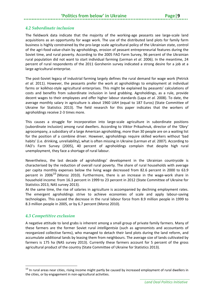# **'Politics from below' in Ukraine**

## <span id="page-12-0"></span>*4.2 Subordinate inclusion*

The fieldwork data indicate that the majority of the working-age peasants see large-scale land acquisitions as an opportunity for wage work. The use of the distributed land plots for family farm business is highly constrained by the pro-large scale agricultural policy of the Ukrainian state, control of the agri-food value-chain by agroholdings, erosion of peasant entrepreneurial features during the Soviet time, and rural poverty. According to the 2005 FAO Farm Survey, 96 percent of the Ukrainian rural population did not want to start individual farming (Lerman *et al*. 2006). In the meantime, 24 percent of rural respondents of the 2011 Gorshenin survey indicated a strong desire for a job at a large agricultural enterprise.

The post-Soviet legacy of industrial farming largely defines the rural demand for wage work (Petrick *et al.* 2011). However, the peasants prefer the work at agroholdings to employment at individual farms or kolkhoz-style agricultural enterprises. This might be explained by peasants' calculations of costs and benefits from subordinate inclusion in land grabbing. Agroholdings, as a rule, provide decent wages to their employees and offer higher labour standards (Lapa *et al.* 2008). To date, the average monthly salary in agriculture is about 1960 UAH (equal to 187 Euros) (State Committee of Ukraine for Statistics 2013). The field research for this paper indicates that the workers of agroholdings receive 2-3 times more.

This causes a struggle for incorporation into large-scale agriculture in subordinate positions (subordinate inclusion) among rural dwellers. According to Viktor Prikazhnuk, director of the 'Obry' agrocompany, a subsidiary of a large American agroholding, more than 30 people are on a waiting list for the position of a combine driver. However, agroholdings require skilled workers without 'bad habits' (i.e. drinking, unreliability), what is often missing in Ukraine (Lerman *et al.* 2007). According to FAO's Farm Survey (2005), 40 percent of agroholdings complain that despite high rural unemployment, they face a shortage of rural labour.

Nevertheless, the last decade of agroholdings' development in the Ukrainian countryside is characterised by the reduction of overall rural poverty. The share of rural households with average per capita monthly expenses below the living wage decreased from 82.6 percent in 2000 to 63.9 percent in 2006<sup>[10](#page-12-2)</sup> (Moroz 2010). Furthermore, there is an increase in the wage-work share in household income: from 16.3 percent in 1999 to 23 percent in 2012 (State Committee of Ukraine for Statistics 2013, NAS survey 2013).

At the same time, the rise of salaries in agriculture is accompanied by declining employment rates. The emergent agroholdings strive to achieve economies of scale and apply labour-saving technologies. This caused the decrease in the rural labour force from 8.9 million people in 1999 to 8.3 million people in 2005, or by 6.7 percent (Moroz 2010).

### <span id="page-12-1"></span>*4.3 Competitive exclusion*

**.** 

A negative attitude to land grabs is inherent among a small group of private family farmers. Many of these farmers are the former Soviet rural *intelligentsia* (such as agronomists and accountants of reorganized collective farms), who managed to detach their land plots during the land reform, and accumulate additional lands by leasing them from neighbours. The average size of lands cultivated by farmers is 175 ha (NAS survey 2013). Currently these farmers account for 5 percent of the gross agricultural product of the country (State Committee of Ukraine for Statistics 2013).

<span id="page-12-2"></span><sup>&</sup>lt;sup>10</sup> In rural areas near cities, rising income might partly be caused by increased employment of rural dwellers in the cities, or by engagement in non-agricultural activities.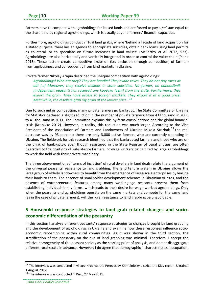Farmers have to compete with agroholdings for leased lands and are forced to pay a *pai* sum equal to the share paid by regional agroholdings, which is usually beyond farmers' financial capacities.

Furthermore, agroholdings conduct virtual land grabs, where 'behind a façade of land acquisition for a stated purpose, there lies an agenda to appropriate subsidies, obtain bank loans using land permits as collateral, or to speculate on future increases in land values' (McCarthy *et al.* 2012, 523). Agroholdings are also horizontally and vertically integrated in order to control the value chain (Plank 2013). These factors create competitive exclusion (i.e. exclusion through competition) of farmers from agribusiness and consequently from land markets in Ukraine.

#### Private farmer Nikolay Arapin described the unequal competition with agriholdings:

*Agroholdings! Who are they? They are bandits! They evade taxes. They do not pay taxes at all! […] Moreover, they receive millions in state subsidies. No farmer, no odnoosibnik [independent peasant] has received any kopeyka [cent] from the state. Furthermore, they export the grain. They have access to foreign markets. They export it at a good price. Meanwhile, the resellers grab my grain at the lowest price…[11](#page-13-1)*

Due to such unfair competition, many private farmers go bankrupt. The State Committee of Ukraine for Statistics declared a slight reduction in the number of private farmers: from 43 thousand in 2006 to 41 thousand in 2011. The Committee explains this by farm consolidations and the global financial crisis (Kropivko 2012). However, in reality, this reduction was much larger. According to the Vice President of the Association of Farmers and Landowners of Ukraine Mikola Strizhak,<sup>[12](#page-13-2)</sup> the real decrease was by 93 percent; there are only 3,000 active farmers who are currently operating in Ukraine. The fieldwork for this research identified that the bankrupted farmers and those who are on the brink of bankruptcy, even though registered in the State Register of Legal Entities, are often degraded to the positions of subsistence farmers, or wage workers being hired by large agroholdings to work the field with their private machinery.

The three above-mentioned 'terms of inclusion' of rural dwellers in land deals refute the argument of the universal peasants' resistance to land grabbing. The land tenure system in Ukraine allows the large group of elderly landowners to benefit from the emergence of large-scale enterprises by leasing their lands to them. The absence of smallholder development schemes in Ukrainian villages, and the absence of entrepreneurial features among many working-age peasants prevent them from establishing individual family farms, which leads to their desire for wage-work at agroholdings. Only when the peasants and agroholdings operate on the same markets and compete for the same land (as in the case of private farmers), will the rural resistance to land grabbing be unavoidable.

# <span id="page-13-0"></span>**5 Household response strategies to land grab related changes and socioeconomic differentiation of the peasantry**

In this section I analyse different peasants' response strategies to changes brought by land grabbing and the development of agroholdings in Ukraine and examine how these responses influence socioeconomic repositioning within rural communities. As it was shown in the third section, the stratification of the peasantry on the eve of land grabbing was minimal. Therefore, I accept the relative homogeneity of the peasant society as the starting point of analysis, and do not disaggregate different rural strata in advance. However, I do agree that demographical characteristics, occupation,

<span id="page-13-1"></span> $11$  The interview was conducted in village Hreblya, the Pereyaslav-Khmelnitsky district, the Kiev region, Ukraine; 1 August 2012.

<span id="page-13-2"></span> $12$  The interview was conducted in Kiev; 27 May 2011.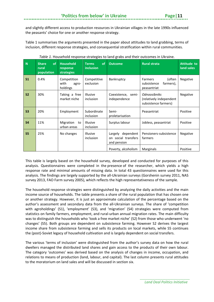and slightly different access to production resources in Ukrainian villages in the late 1990s influenced the peasants' choice for one or another response strategy.

Table 1 summarises the arguments presented in the paper about attitudes to land grabbing, terms of inclusion, different response strategies, and consequential stratification within rural communities.

| N              | <b>of</b><br><b>Share</b><br>rural<br>population | <b>Household</b><br>response<br>strategies | <b>of</b><br><b>Terms</b><br><i>inclusion</i> | <b>Outcome</b>                                          | <b>Rural strata</b>                                                    | <b>Attitude to</b><br>land sales |
|----------------|--------------------------------------------------|--------------------------------------------|-----------------------------------------------|---------------------------------------------------------|------------------------------------------------------------------------|----------------------------------|
| S <sub>1</sub> | 0.4%                                             | Competition<br>with<br>agro-<br>holdings   | Competitive<br>exclusion                      | Bankruptcy                                              | (often<br><b>Farmers</b><br>subsistence<br>farmers),<br>peasantriat    | Negative                         |
| S <sub>2</sub> | 30%                                              | Taking a free<br>market niche              | <b>Illusive</b><br>inclusion                  | Coexistence, semi-<br>independence                      | <b>Odnoosibniks</b><br>(relatively independent<br>subsistence farmers) | Negative                         |
| S <sub>3</sub> | 20%                                              | Employment                                 | Subordinate<br>inclusion                      | Semi-<br>proletarisation                                | Peasantriat                                                            | Positive                         |
| <b>S4</b>      | 11%                                              | Migration<br>to<br>urban areas             | <b>Illusive</b><br>inclusion                  | Surplus labour                                          | Jobless, peasantriat                                                   | Positive                         |
| <b>S5</b>      | 25%                                              | No changes                                 | <b>Illusive</b><br>inclusion                  | Largely dependent<br>on social transfers<br>and pension | Pensioners-subsistence<br>farmers                                      | Negative                         |
|                |                                                  |                                            |                                               | Poverty, alcoholism                                     | Marginals                                                              | Positive                         |

This table is largely based on the household survey, developed and conducted for purposes of this analysis. Questionnaires were completed in the presence of the researcher, which yields a high response rate and minimal amounts of missing data. In total 43 questionnaires were used for this analysis. The findings are largely supported by the all-Ukrainian surveys (Gorshenin survey 2011, NAS survey 2013, FAO Farm survey 2005), which reflects the high representativeness of the sample.

The household response strategies were distinguished by analyzing the daily activities and the main income source of households. The table presents a share of the rural population that has chosen one or another strategy. However, it is just an approximate calculation of the percentage based on the author's assessment and secondary data from the all-Ukrainian surveys. The share of 'competition with agroholdings' (S1), 'employment' (S3), and 'migration' (S4) strategies were computed from statistics on family farmers, employment, and rural-urban annual migration rates. The main difficulty was to distinguish the households who 'took a free market niche' (S2) from those who underwent 'no changes' (S5). Both groups are dependent on subsistence farming. However S2 derives the largest income share from subsistence farming and sells its products on local markets, while S5 continues the (post)-Soviet legacy of household cultivation and is largely dependent on social transfers.

The various 'terms of inclusion' were distinguished from the author's survey data on how the rural dwellers managed the distributed land shares and gain access to the products of their own labour. The category 'outcomes' was derived based on the analysis of changes in income, occupation, and relations to means of production (land, labour, and capital). The last column presents rural attitudes to the moratorium on land sales and will be discussed in section six.

*Land Deal Politics Initiative*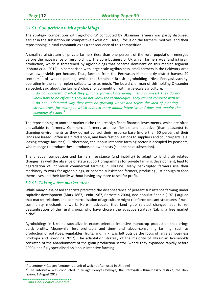# <span id="page-15-0"></span>*5.1 S1: Competition with agroholdings*

The strategy 'competition with agroholding' conducted by Ukrainian farmers was partly discussed earlier in the subsection on 'competitive exclusion'. Here, I focus on the farmers' motives, and their repositioning in rural communities as a consequence of this competition.

A small rural stratum of private farmers (less than one percent of the rural population) emerged before the appearance of agroholdings. The core business of Ukrainian farmers was (and is) grain production, which is threatened by agroholdings that became dominant on this market segment (Kobuta *et al.* 2012). In comparison with large-scale agribusiness, small farmers in the fieldwork area have lower yields per hectare. Thus, farmers from the Pereyaslav-Khmelnitskiy district harvest 20 centners<sup>[13](#page-15-2)</sup> of wheat per ha, while the Ukrainian-British agroholding 'Niva Pereyaslavschiny' operating in the same region collects twice as much. The board chairman of this holding Olexander Yaroschuk said about the farmers' choice for competition with large-scale agriculture:

*I do not understand what they [private farmers] are doing in this business! They do not know how to be efficient; they do not know the technologies. They cannot compete with us. I do not understand why they keep on growing wheat and reject the idea of planting… strawberries, for example, which is much more labour-intensive and does not require the economy of scale! [14](#page-15-3)*

The repositioning to another market niche requires significant financial investments, which are often unavailable to farmers. Commercial farmers are less flexible and adaptive (than peasants) to changing environments as they do not control their resource base (more than 50 percent of their lands are leased), often use hired labour, and have fast obligations to suppliers and counterparts (e.g. leasing storage facilities). Furthermore, the labour-intensive farming sector is occupied by peasants, who manage to produce these products at lower costs (see the next subsection).

The unequal competition and farmers' resistance (and inability) to adapt to land grab related changes, as well the absence of state support programmes for private farming development, lead to degradation of individual commercial farming in Ukraine. Many bankrupted farmers use their machinery to work for agroholdings, or become subsistence farmers, producing just enough to feed themselves and their family without having any more to sell for profit.

### <span id="page-15-1"></span>*5.2 S2: Taking a free market niche*

While many class-based theorists predicted the disappearance of peasant subsistence farming under capitalist development (Marx 1867, Lenin 1967, Bernstein 2004), neo-populist Shanin (1971) argued that market relations and commercialisation of agriculture might reinforce peasant structures if rural community mechanisms work. Here I advocate that land grab related changes lead to repeasantisation of the rural groups who have chosen the adaptive strategy 'taking a free market niche'.

Agroholdings in Ukraine specialize in export-oriented intensive monocrop production that brings quick profits. Meanwhile, less profitable and time- and labour-consuming farming, such as production of potatoes, vegetables, fruits, and milk, was left outside the focus of large agribusiness (Prokopa and Borodina 2012). The adaptation strategy of the majority of Ukrainian households consisted of the abandonment of the grain production sector (where they expanded rapidly before 2000), and fully specialised on labour-intensive farming.

<span id="page-15-2"></span><sup>&</sup>lt;sup>13</sup> 1 centner = 0.1 ton (centner is a unit of weight often used in Ukraine)

<span id="page-15-3"></span><sup>&</sup>lt;sup>14</sup> The interview was conducted in village Pereyaslavskoye, the Pereyaslav-Khmelnitskiy district, the Kiev region; 1 August 2012.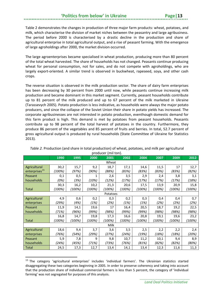# 'Politics from below' in Ukraine

Table 2 demonstrates the changes in production of three major farm products: wheat, potatoes, and milk, which characterise the division of market niches between the peasantry and large agribusiness. The period before 2000 is characterised by a drastic decline in the production and share of agricultural enterprise in total agricultural output, and a rise of peasant farming. With the emergence of large agroholdings after 2000, the market division occurred.

The large agroenterprises became specialised in wheat production, producing more than 80 percent of the total wheat harvested. The share of households has not changed. Peasants continue producing wheat for personal consumption, not for sales, and do not compete with agroholdings, who are largely export-oriented. A similar trend is observed in buckwheat, rapeseed, soya, and other cash crops.

The reverse situation is observed in the milk production sector. The share of dairy farm enterprises has been decreasing by 30 percent from 2000 until now, while peasants continue increasing milk production and became dominant in this market segment. Currently, peasant households contribute up to 81 percent of the milk produced and up to 67 percent of the milk marketed in Ukraine (Tarassevych 2005). Potato production is less indicative, as households were always the major potato producers, and since the collapse of the Soviet Union their share in potato yields has increased. The corporate agribusinesses are not interested in potato production, eventhough domestic demand for this farm product is high. This demand is met by potatoes from peasant households. Peasants contribute up to 98 percent of the total harvest of potatoes in the country. Furthermore, they produce 86 percent of the vegetables and 85 percent of fruits and berries. In total, 52.7 percent of gross agricultural output is produced by rural households (State Committee of Ukraine for Statistics 2013).

|                           | 1990   | 1995   | 2000   | P<br>2001 | 2002   | 2004   | 2007   | 2009   | 2012   |
|---------------------------|--------|--------|--------|-----------|--------|--------|--------|--------|--------|
| Wheat                     |        |        |        |           |        |        |        |        |        |
| Agricultural              | 30,2   | 15,7   | 9,2    | 18,7      | 17,1   | 14,6   | 11,5   | 17     | 12,7   |
| enterprises <sup>15</sup> | (100%) | (97%)  | (90%)  | (88%)     | (83%)  | (83%)  | (83%)  | (83%)  | (82%)  |
| Peasant                   | 0,1    | 0,5    | 1      | 2,6       | 3,5    | 2,9    | 2,4    | 3,8    | 3,1    |
| households                | (0%)   | (3%)   | (10%)  | (12%)     | (17%)  | (17%)  | (17%)  | (17%)  | (18%)  |
|                           | 30,3   | 16,2   | 10,2   | 21,3      | 20,6   | 17,5   | 13,9   | 20,9   | 15,8   |
| <b>Total</b>              | (100%) | (100%) | (100%) | (100%)    | (100%) | (100%) | (100%) | (100%) | (100%) |
|                           |        |        |        | Potatoes  |        |        |        |        |        |
| Agricultural              | 4,9    | 0,6    | 0,2    | 0,3       | 0,2    | 0,3    | 0,4    | 0,4    | 0,7    |
| enterprises               | (29%)  | (4%)   | (1%)   | (2%)      | (1%)   | (1%)   | (2%)   | (2%)   | (2%)   |
| Peasant                   | 11,9   | 14,1   | 19,6   | 17        | 16,4   | 20,5   | 18,7   | 19,2   | 22,5   |
| households                | (71%)  | (96%)  | (99%)  | (98%)     | (99%)  | (99%)  | (98%)  | (98%)  | (98%)  |
|                           | 16,8   | 14,7   | 19,8   | 17,3      | 16,6   | 20,8   | 19,1   | 19,6   | 23,2   |
| <b>Total</b>              | (100%) | (100%) | (100%) | (100%)    | (100%) | (100%) | (100%) | (100%) | (100%) |
| Milk                      |        |        |        |           |        |        |        |        |        |
| Agricultural              | 18,6   | 9,4    | 3,7    | 3,6       | 3,5    | 2,5    | 2,2    | 2,2    | 2,4    |
| enterprises               | (76%)  | (54%)  | (29%)  | (27%)     | (24%)  | (19%)  | (18%)  | (18%)  | (20%)  |
| Peasant                   | 5,9    | 7,8    | 9      | 9,8       | 10,7   | 11,2   | 10,1   | 9,4    | 8,9    |
| households                | (24%)  | (45%)  | (71%)  | (73%)     | (76%)  | (81%)  | (82%)  | (82%)  | (80%)  |
| Total                     | 24,5   | 17,3   | 12,7   | 13,4      | 14,1   | 13,4   | 12,3   | 11,6   | 11,3   |

*Table 2.* Production (and share in total production) of wheat, potatoes, and milk per agricultural producer (mil ton).

<span id="page-16-0"></span><sup>&</sup>lt;sup>15</sup> The category 'agricultural enterprises' includes 'individual farmers'. The Ukrainian statistics started disaggregating these two categories beginning in 2005. In order to preserve coherency and taking into account that the production share of individual commercial farmers is less than 5 percent, the category of 'individual farming' was not segregated for purposes of this analysis.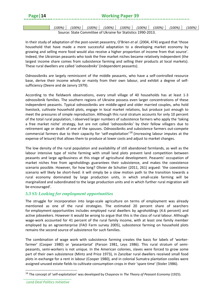#### **Page|14 Working Paper 39**

*(100%) (100%) (100%) (100%) (100%) (100%) (100%) (100%) (100%)* Source: State Committee of Ukraine for Statistics 1990-2013.

In their study of adaptation of the post-soviet peasantry, O'Brien *et al*. (2004, 474) argued that 'those household that have made a more successful adaptation to a developing market economy by growing and selling more food would also receive a higher proportion of income from that source'. Indeed, the Ukrainian peasants who took the free market niches became relatively independent (the largest income share comes from subsistence farming and selling their products at local markets). These rural dwellers are called '*odnoosibniks'* (independent peasants).

Odnoosibniks are largely reminiscent of the middle peasants, who have a self-controlled resource base, derive their income wholly or mainly from their own labour, and exhibit a degree of selfsufficiency (Deere and de Janvry 1979).

According to the fieldwork observations, every small village of 40 households has at least 1-3 odnoosibnik families. The southern regions of Ukraine possess even larger concentrations of these independent peasants. Typical odnoosibniks are middle-aged and older married couples, who hold livestock, cultivate household plots, engage in local market relations, but produce just enough to meet the pressures of simple reproduction. Although this rural stratum accounts for only 10 percent of the total rural population, I observed larger numbers of subsistence farmers who apply the 'taking a free market niche' strategy, but are not called 'odnoosibniks' by their fellow villagers due to retirement age or death of one of the spouses. Odnoosibniks and subsistence farmers out-compete commercial farmers due to their capacity for 'self-exploitation'[16](#page-17-1) (increasing labour imputes at the expense of leisure) that allows them to produce at lower costs and adjust to market changes.

The low density of the rural population and availability of still abandoned farmlands, as well as the labour intensive type of niche farming with small land plots prevent land competition between peasants and large agribusiness at this stage of agricultural development. Peasants' occupation of market niches free from agroholdings guarantees their subsistence, and makes the coexistence scenario possible. However, for how long? Olivier de Schutter (2011, 261) argued: 'the coexistence scenario will likely be short-lived: it will simply be a slow motion path to the transition towards a rural economy dominated by large production units, in which small-scale farming will be marginalized and subordinated to the large production units and in which further rural migration will be encouraged'.

# <span id="page-17-0"></span>*5.3 S3: Looking for employment opportunities*

The struggle for incorporation into large-scale agriculture on terms of employment was already mentioned as one of the rural strategies. The estimated 20 percent share of searchers for employment opportunities includes employed rural dwellers by agroholdings (4.6 percent) and active jobseekers. However it would be wrong to argue that this is the class of rural labour. Although wage-work accounted for 41 percent of the rural family income, with at least one family member employed by an agroenterprise (FAO Farm survey 2005), subsistence farming on household plots remains the second source of subsistence for such families.

The combination of wage work with subsistence farming creates the basis for labels of 'workerfarmer' (Cooper 1980) or 'peasantariat' (Parson 1981, Leys 1986). This rural stratum of semipeasants, semi-workers is not unique. In the American colonies, slaves were forced to grow some part of their own subsistence (Mintz and Price 1973), in Zanzibar rural dwellers received small food plots in exchange for a rent in labour (Cooper 1980), and in colonial Sumatra plantation coolies were assigned unused estate fields to cultivate consumption crops in their 'spare time' (Stoler 1986).

<span id="page-17-1"></span><sup>16</sup> The concept of 'self-exploitation' was developed by Chayanov in *The Theory of Peasant Economy* (1925).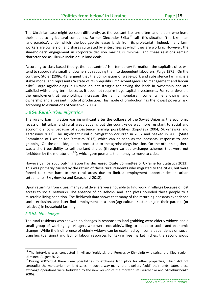The Ukrainian case might be seen differently, as the peasantriats are often landholders who lease their lands to agricultural companies. Farmer Olexander Skiba<sup>[17](#page-18-2)</sup> calls this situation 'the Ukrainian land paradox', under which 'the bourgeoisie leases lands from its proletariat'. Indeed, many farm workers are owners of land shares cultivated by enterprises at which they are working. However, the shareholders' engagement in corporate decision making is minimal, and these relations remain characterized as 'illusive inclusion' in land deals.

According to class-based theory, the 'peasantriat' is a temporary formation: the capitalist class will tend to subordinate small landowners by reducing them to dependent labourers (Paige 1975). On the contrary, Stoler (1986, 43) argued that the combination of wage-work and subsistence farming is a stable mode, and represents 'a state of "flux equilibrium" advantageous to management and labour alike'. Large agroholdings in Ukraine do not struggle for having the lands in ownership and are satisfied with a long-term lease, as it does not require huge capital investments. For rural dwellers the employment at agroholdings increases the family monetary income, while allowing land ownership and a peasant mode of production. This mode of production has the lowest poverty risk, according to estimations of Vlasenko (2008).

#### <span id="page-18-0"></span>*5.4 S4: Rural-urban migration*

The rural-urban migration was insignificant after the collapse of the Soviet Union as the economic recession hit urban and rural areas equally, but the countryside was more resistant to social and economic shocks because of subsistence farming possibilities (Kopoteva 2004, Skryzhevska and Karacsonyi 2012). The significant rural out-migration occurred in 2002 and peaked in 2005 (State Committee of Ukraine for Statistics 2013), which can be seen as the peasants' response to land grabbing. On the one side, people protested to the agroholdings invasion. On the other side, there was a short possibility to sell the land shares (through various exchange schemes that were not forbidden by the moratorium<sup>[18](#page-18-3)</sup>), which gave peasants the money to move to cities.

However, since 2005 out-migration has decreased (State Committee of Ukraine for Statistics 2013). This was primarily caused by the return of those rural residents who migrated to the cities, but were forced to come back to the rural areas due to limited employment opportunities in urban settlements (Skryzhevska and Karacsonyi 2012).

Upon returning from cities, many rural dwellers were not able to find work in villages because of lost access to social networks. The absence of household- and land plots bounded these people to a miserable living condition. The fieldwork data shows that many of the returning peasants experience social exclusion, and later find employment in a (non-)agricultural sector or join their parents (or relatives) in household farming.

#### <span id="page-18-1"></span>*5.5 S5: No changes*

**.** 

The rural residents who showed no changes in response to land grabbing were elderly widows and a small group of working-age villagers who were not able/willing to adapt to social and economic changes. While the indifference of elderly widows can be explained by income dependency on social transfers (pensions) and lack of labour resources for taking free market niches, the second group

<span id="page-18-2"></span> $17$  The interview was conducted in village Yerkivtsi, the Pereyaslav-Khmelnitsky district, the Kiev region, Ukraine;1 August 2012.

<span id="page-18-3"></span> $18$  During 2002-2004 there were possibilities to exchange land plots for other properties, which did not contradict the moratorium on land sales. In such a way many rural dwellers "sold" their lands. Later, these exchange operations were forbidden by the new version of the moratorium (Yurchenko and Miroshnichenko 2006).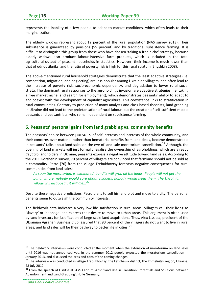represents the inability of a few people to adapt to market conditions, which often leads to their marginalization.

The elderly widows represent about 12 percent of the rural population (NAS survey 2013). Their subsistence is guaranteed by pensions (55 percent) and by traditional subsistence farming. It is difficult to distinguish this group from those who have chosen 'taking a free niche' strategy, because elderly widows also produce labour-intensive farm products, which is included in the total agricultural output of peasant households in statistics. However, their income is much lower than that of odnoosibniks, and the ratio of poverty risk is high for this rural stratum (Shyshkin 2008).

The above-mentioned rural household strategies demonstrate that the least adaptive strategies (i.e. competition, migration, and neglecting) are less popular among Ukrainian villagers, and often lead to the increase of poverty risk, socio-economic dependency, and degradation to lower rural social strata. The dominant rural responses to the agroholdings invasion are adaptive strategies (i.e. taking a free market niche, and search for employment), which demonstrates peasants' ability to adapt to and coexist with the development of capitalist agriculture. This coexistence links to stratification in rural communities. Contrary to prediction of many analysts and class-based theorists, land grabbing in Ukraine did not lead to the proletarisation of rural labour, but the creation of self-sufficient middle peasants and peasantriats, who remain dependent on subsistence farming.

# <span id="page-19-0"></span>**6. Peasants' personal gains from land grabbing vs. community benefits**

The peasants' choice between pursuits of self-interests and interests of the whole community, and their concerns over material rather than immaterial benefits from land deals, became demonstrable in peasants' talks about land sales on the eve of land sale moratorium cancellation.<sup>[19](#page-19-1)</sup> Although, the opening of land markets will just formally legalise the ownership of agroholdings, which are already *de facto* landholders in Ukraine, peasants express a negative attitude toward land sales. According to the 2011 Gorshenin survey, 70 percent of villagers are convinced that farmland should not be sold as a commodity. Petro (76) from the village Trebukhovtsy forecasts negative consequences for rural communities from land sales:

*As soon the moratorium is eliminated, bandits will grab all the lands. People will not get the pai anymore, nobody would care about villagers, nobody would need them. The Ukrainian village will disappear, it will die...[20](#page-19-2)*

Despite these negative predictions, Petro plans to sell his land plot and move to a city. The personal benefits seem to outweigh the community interests.

The fieldwork data indicates a very low life satisfaction in rural areas. Villagers call their living as 'slavery' or 'peonage' and express their desire to move to urban areas. This argument is often used by land investors for justification of large-scale land acquisitions. Thus, Alex Lissitsa, president of the Ukrainian Agrarian Business Club, assured that 90 percent of the villagers do not want to live in rural areas, and land sales will be their pathway to better life in cities.<sup>[21](#page-19-3)</sup>

 $\overline{\phantom{a}}$ 

<span id="page-19-1"></span><sup>&</sup>lt;sup>19</sup> The fieldwork interviews were conducted at the moment when the extension of moratorium on land sales until 2016 was not announced yet. In the summer 2012 people expected the moratorium cancellation in January 2013, and discussed the pros and cons of the coming changes.

<span id="page-19-2"></span> $^{20}$  The interview was conducted in village Trebukhovtsy, the Letichevsk district, the Khmelnitsk region, Ukraine; 28 July 2012.

<span id="page-19-3"></span><sup>&</sup>lt;sup>21</sup> From the speech of Lissitsa at IAMO Forum 2012 'Land Use in Transition: Potentials and Solutions between Abandonment and Land Grabbing', Hulle Germany.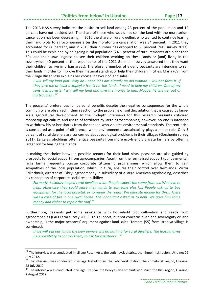## **'Politics from below' in Ukraine**

The 2013 NAS survey indicates the desire to sell land among 23 percent of the population and 12 percent have not decided yet. The share of those who would not sell the land with the moratorium cancellation has been decreasing. In 2010 the share of rural dwellers who wanted to continue leasing their land plots to agrocompanies after the moratorium cancellation was 84 percent, in 2011 they accounted for 80 percent, and in 2013 their number has dropped to 65 percent (NAS survey 2013). This could be explained by an ageing rural population (24.1 percent of rural residents are older than 60), and their unwillingness to see their children working on these lands or (and) living in the countryside (40 percent of the respondents of the 2011 Gorshenin survey answered that they want their children to live in urban areas). Therefore, a number of elderly peasants are intending to sell their lands in order to improve their material standing or help their children in cities. Maria (69) from the village Rusanivtsy explains her choice in favour of land sales:

*I will sell my land plot. Why do I need it? I am already an old woman. I will not farm it. If they give me at least a kopeyka [cent] for this land... I need to help my children. One of my sons is in poverty. I will sell my land and give the money to him. Maybe, he will get out of his troubles...[22](#page-20-0)*

The peasants' preferences for personal benefits despite the negative consequences for the whole community are observed in their reaction to the problems of soil degradation that is caused by largescale agricultural development. In the in-depth interviews for this research peasants criticized monocrop agriculture and usage of fertilizers by large agrocompanies; however, no one is intended to withdraw his or her shares from the tenant, who violates environmental standards. The rent price is considered as a point of difference, while environmental sustainability plays a minor role. Only 5 percent of rural dwellers are concerned about ecological problems in their villages (Gorshenin survey 2011). Large agroholdings often entice peasants from more eco-friendly private farmers by offering larger *pai* for leasing their lands.

In making the choice between possible tenants for their land plots, peasants are also guided by prospects for social support from agrocompanies. Apart from the formalised support (*pai* payments), large farms frequently pursue corporate citizenship programmes, which allow them to gain sympathies of the local population, which, in turn, ensures their control over farmlands. Viktor Prikazhnuk, director of 'Obry' agrocompany, a subsidiary of a large American agroholding, describes his conception of corporate social responsibility:

*Formerly, kolkhozy helped rural dwellers a lot. People expect the same from us. We have to help, otherwise they could lease their lands to someone else [...] People ask us to buy equipment for the local hospital, or to repair the roads. We allocate money for this... There was a case of fire in one rural house. The inhabitant asked us to help. We gave him some money and cipher to repair the roof.[23](#page-20-1)*

Furthermore, peasants get some assistance with household plot cultivation and seeds from agrocompanies (FAO Farm survey 2005). This support, but not concerns over land sovereignty or land ownership, is the major peasants' argument against land sales. Tamara (55) from Hreblya village is convinced:

*If we will sell our lands, the new owners will do nothing for rural dwellers. The leasing gives us a possibility to control them, to ask for assistance...[24](#page-20-2)*

<span id="page-20-0"></span> $22$  The interview was conducted in village Rusanivtsy, the Letichevsk district, the Khmelnitsk region, Ukraine; 29 July 2012.

<span id="page-20-1"></span><sup>&</sup>lt;sup>23</sup> The interview was conducted in village Trebukhotsy, the Letichevsk district, the Khmelnitsk region, Ukraine. 28 July 2012.

<span id="page-20-2"></span><sup>&</sup>lt;sup>24</sup> The interview was conducted in village Hreblya, the Pereyaslav-Khmelnitsky district, the Kiev region, Ukraine, 2 August 2012.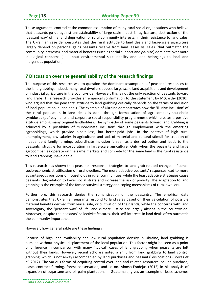These arguments contradict the common assumption of many rural social organisations who believe that peasants go up against unsustainability of large-scale industrial agriculture, destruction of the 'peasant way' of life, and deprivation of rural community interests, in their resistance to land sales. The Ukrainian case demonstrates that the rural attitude to land deals and large-scale agriculture largely depend on personal gains peasants receive from land leases vs. sales (that outmatch the community interests), and material benefits (such as social support and *pai* size) dominate over more ideological concerns (i.e. about environmental sustainability and land belongings to local and indigenous population).

# <span id="page-21-0"></span>**7 Discussion over the generalisability of the research findings**

The purpose of this research was to question the dominant assumptions of peasants' responses to the land grabbing. Indeed, many rural dwellers oppose large-scale land acquisitions and development of industrial agriculture in the countryside. However, this is not the only reaction of peasants toward land grabs. This research provides an empirical confirmation to the statement by McCarthy (2010), who argued that the peasants' attitude to land grabbing critically depends on the terms of inclusion of local population in land deals. The example of Ukraine demonstrates how the 'illusive inclusion' of the rural population in land deals is done through formalisation of agrocompany-household symbioses (*pai* payments and corporate social responsibility programmes), which creates a positive attitude among many original landholders. The sympathy of some peasants toward land grabbing is achieved by a possibility of 'subordinate inclusion' through employment with the emerging agroholdings, which provide albeit less, but better-paid jobs. In the context of high rural unemployment, low salaries in agriculture, and lack of material and cultural stimuli for creation of independent family farming, subordinate inclusion is seen as a desired option and leads to the peasants' struggle for incorporation in large-scale agriculture. Only when the peasants and large agrocompanies operate on the same markets and compete for the same land is the rural resistance to land grabbing unavoidable.

This research has shown that peasants' response strategies to land grab related changes influence socio-economic stratification of rural dwellers. The more adaptive peasants' responses lead to more advantageous positions of households in rural communities, while the least adaptive strategies cause peasants' degradation to lower social strata and increase the risk of poverty. The adaptation to land grabbing is the example of the famed survival strategy and coping mechanisms of rural dwellers.

Furthermore, this research denies the romantisation of the peasantry. The empirical data demonstrates that Ukrainian peasants respond to land sales based on their calculation of possible material benefits derived from lease, sale, or cultivation of their lands, while the concerns with land sovereignty, the 'peasant way' of life, and climate justice are largely absent in the countryside. Moreover, despite the peasants' collectivist features, their self-interests in land deals often outmatch the community importance.

However, how generalizable are these findings?

Because of high land availability and low rural population density in Ukraine, land grabbing is pursued without physical displacement of the local population. This factor might be seen as a point of difference in comparison with many "typical" cases of land grabbing when peasants are left without their lands. However, recent scholars noted a shift from land grabbing to land control grabbing, which is not always accompanied by land purchases and peasants' dislocations (Borras *et al.* 2012). The various forms of acquiring control over land and related resources include purchase, lease, contract farming, forest conservation, and so on. Alonso-Fradejas (2012) in his analysis of expansion of sugarcane and oil palm plantations in Guatemala, gives an example of lease schemes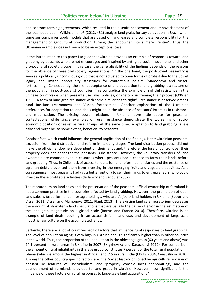and contract farming agreements, which resulted in the disenfranchisement and impoverishment of the local population. Wilkinson *et al.* (2012, 431) analyse land grabs for soy cultivation in Brazil when some agricompanies apply models that are based on land leases and complete responsibility for the management of agricultural production, turning the landowner into a mere "rentier". Thus, the Ukrainian example does not seem to be an exceptional case.

In the introduction to this paper I argued that Ukraine provides an example of responses toward land grabbing by peasants who are not encouraged and inspired by anti-grab social movements and other pro-poor civil society groups. In this case, the generalizability of the findings depends on the reasons for the absence of these civil society organizations. On the one hand, the post-Soviet peasantry is seen as a politically unconscious group that is not adjusted to open forms of protest due to the Soviet legacy and limited opportunity structures for contentious politics (Mamonova and Visser, forthcoming). Consequently, the silent acceptance of and adaptation to land grabbing is a feature of the population in post-socialist countries. This contradicts the example of rightful resistance in the Chinese countryside when peasants use laws, policies, or rhetoric in framing their protest (O'Brien 1996). A form of land grab resistance with some similarities to rightful resistance is observed among rural Russians (Mamonova and Visser, forthcoming). Another explanation of the Ukrainian preferences for adaptation to land deals might be in the absence of peasants' interests in resistance and mobilisation. The existing power relations in Ukraine leave little space for peasants' contestations, while single examples of rural resistance demonstrate the worsening of socioeconomic positions of resistive rural groups. At the same time, adaptation to land grabbing is less risky and might be, to some extent, beneficial to peasants.

Another fact, which could influence the general application of the findings, is the Ukrainian peasants' exclusion from the distributive land reform in its early stages. The land distribution process did not make the official landowners dependent on their lands and, therefore, the loss of control over their property does not endanger the peasants' subsistence. However, the voluntary transfers of land ownership are common even in countries where peasants had a chance to farm their lands before land grabbing. Thus, in Chile, lack of access to loans for land reform beneficiaries and the existence of agrarian debts prevented them from investing in the emerging fruits and vegetable activities. As a consequence, most peasants had (as a better option) to sell their lands to entrepreneurs, who could invest in these profitable activities (de Janvry and Sadoulet 2002).

The moratorium on land sales and the preservation of the peasants' official ownership of farmland is not a common practice in the countries affected by land grabbing. However, the prohibition of open land sales is just a formal ban for agroholdings, who are *de facto* land holders in Ukraine (Spoor and Visser 2011, Visser and Mamonova 2011, Plank 2013). The existing land sale moratorium decreases the amount of short-term land speculations that are usually the cause of error in the estimation of the land grab magnitude on a global scale (Borras and Franco 2010). Therefore, Ukraine is an example of land deals resulting in an actual shift in land use, and development of large-scale industrial agriculture on the accumulated lands.

Certainly, there are a lot of country-specific factors that influence rural responses to land grabbing. The level of population aging is very high in Ukraine and is significantly higher than in other counties in the world. Thus, the proportion of the population in the oldest age group (60 years and above) was 24.1 percent in rural areas in Ukraine in 2007 (Skryzhevska and Karacsonyi 2012). For comparison, the amount of rural inhabitants in this age group constitutes 7 percent of the total rural population in Ghana (which is among the highest in Africa), and 7.5 in rural India (Chuks 2004, CensusIndia 2010). Among the other country-specific factors are: the Soviet history of collective agriculture, erosion of peasant-like features of 'individualism' and 'property consciousness economizing', and the abandonment of farmlands previous to land grabs in Ukraine. However, how significant is the influence of these factors on rural responses to large-scale land acquisitions?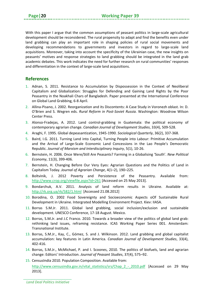With this paper I argue that the common assumptions of peasant politics in large-scale agricultural development should be reconsidered. The rural propensity to adapt and find the benefits even under land grabbing can play an important role in shaping policies of rural social movements and developing recommendations to governments and investors in regard to large-scale land acquisitions. Moreover, taking into account the specificity of the Ukrainian case, the new insights on peasants' motives and response strategies to land grabbing should be integrated in the land grab academic debates. This work indicates the need for further research on rural communities' responses and differentiation in the context of large-scale land acquisitions.

# <span id="page-23-0"></span>**References**

- 1. Adnan, S. 2011. Resistance to Accumulation by Dispossession in the Context of Neoliberal Capitalism and Globalization: Struggles for Defending and Gaining Land Rights by the Poor Peasantry in the Noakhali Chars of Bangladesh. Paper presented at the International Conference on Global Land Grabbing, 6-8 April.
- 2. Allina-Pisano, J. 2002. Reorganization and its Discontents: A Case Study in Voronezh oblast. In: D. O'Brien and S. Wegren eds. *Rural Reform in Post-Soviet Russia.* Washington: Woodrow Wilson Center Press.
- 3. Alonso-Fradejas, A. 2012. Land control-grabbing in Guatemala: the political economy of contemporary agrarian change. *Canadian Journal of Development Studies*, 33(4), 509-528.
- 4. Araghi, F. 1995. Global depeasantization, 1945-1990. *Sociological Quarterly*, 36(2), 337-368.
- 5. Baird, I.G. 2011. Turning Land into Capital, Turning People into Labour: Primitive Accumulation and the Arrival of Large-Scale Economic Land Concessions in the Lao People's Democratic Republic. *Journal of Marxism and Interdisciplinary Inquiry*, 5(1), 10-26.
- 6. Bernstein, H. 2006. Once Were/Still Are Peasants? Farming in a Globalising 'South'. *New Political Economy*, 11(3), 399-406.
- 7. Bernstein, H. Changing Before Our Very Eyes: Agrarian Questions and the Politics of Land in Capitalism Today. *Journal of Agrarian Change*, 4(1–2), 190–225.
- 8. Boltvinik, J. 2012 Poverty and Persistence of the Peasantry. Available from: <http://www.crop.org/viewfile.aspx?id=261> [Accessed on 25 May 2013].
- 9. Bondarchuk, A.V. 2011. Analysis of land reform results in Ukraine. Available at: <http://rk.org.ua/rk/582/1.html> [Accessed 21.08.2012]
- 10. Borodina, O. 2002 Food Sovereignty and Socioeconomic Aspects oOf Sustainable Rural Development in Ukraine. Intergrated Modelling Environment Project. Kiev: IIASA.
- 11. Borras S.M.Jr. 2011. Global land grabbing, social inclusion/exclusion and sustainable development. UNESCO Conference, 17-18 August. Mexico.
- 12. Borras, S.M.Jr. and J.C Franco. 2010. Towards a broader view of the politics of global land grab: rethinking land issues, reframing resistance. ICAS Working Paper Series 001. Amsterdam: Transnational Institute.
- 13. Borras, S.M.Jr., Kay, C., Gómez, S. and J. Wilkinson. 2012. Land grabbing and global capitalist accumulation: key features in Latin America. *Canadian Journal of Development Studies*, 33(4), 402-416.
- 14. Borras, S.M.Jr., McMichael, P. and I. Scoones, 2010. The politics of biofuels, land and agrarian change: Editors' Introduction. *Journal of Peasant Studies*, 37(4), 575–92.
- 15. CensusIndia 2010. Population Composition. Available from:

[http://www.censusindia.gov.in/vital\\_statistics/srs/Chap\\_2\\_-\\_2010.pdf](http://www.censusindia.gov.in/vital_statistics/srs/Chap_2_-_2010.pdf) [Accessed on 29 May 2013].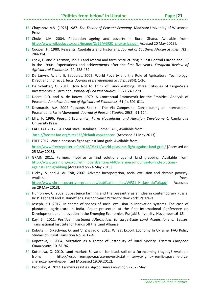## **'Politics from below' in Ukraine**

- 16. Chayanov, A.V. [1925] 1987. *The Theory of Peasant Economy*. Madison: University of Wisconsin Press.
- 17. Chuks, J.M. 2004. Population ageing and poverty in Rural Ghana. Available from: [http://www.wikieducator.org/images/2/26/AGRIC\\_chuksmba.pdf](http://www.wikieducator.org/images/2/26/AGRIC_chuksmba.pdf) [Accesed 20 May 2013].
- 18. Cooper, F., 1980. Peasants, Capitalists and Historians. *Journal of Southern African Studies,* 7(2), 284-314.
- 19. Csaki, C. and Z. Lerman, 1997. Land reform and farm restructuring in East Central Europe and CIS in the 1990s: Expectations and achievements after the first five years. *European Review of Agricultural Economics*, 24, 428-452
- 20. De Janvry, A. and E. Sadoulet, 2002. World Poverty and the Role of Agricultural Technology: Direct and Indirect Effects. *Journal of Development Studies*, 38(4), 1-26.
- 21. De Schutter, O. 2011. How Not to Think of Land-Grabbing: Three Critiques of Large-Scale Investments in Farmland. *Journal of Peasant Studies*, 38(2), 249-279.
- 22. Deere, C.D. and A. de Janvry. 1979. A Conceptual Framework for the Empirical Analysis of Peasants. *American Journal of Agricultural Economics*, 61(4), 601-611.
- 23. Desmarais, A.A. 2002 Peasants Speak The Vía Campesina: Consolidating an International Peasant and Farm Movement. *Journal of Peasant Studies*, 29(2), 91-124.
- 24. Ellis, F. 1996. *Peasant Economics. Farm Households and Agrarian Development.* Cambridge University Press.
- 25. FAOSTAT 2012. FAO Statistical Database. Rome: FAO , Available from: [http://faostat.fao.org/site/573/default.aspx#ancor.](http://faostat.fao.org/site/573/default.aspx%23ancor) [Accessed 21 May 2013].
- 26. FREE 2012. World peasants fight against land grab. Available from: <http://www.freereporter.info/2012/05/11/world-peasants-fight-against-land-grab/> [Accessed on 25 May 2013].
- 27. GRAIN 2011. Farmers mobilise to find solutions against land grabbing. Available from: [http://www.grain.org/es/bulletin\\_board/entries/4408-farmers-mobilise-to-find-solutions](http://www.grain.org/es/bulletin_board/entries/4408-farmers-mobilise-to-find-solutions-against-land-grabbing)[against-land-grabbing](http://www.grain.org/es/bulletin_board/entries/4408-farmers-mobilise-to-find-solutions-against-land-grabbing) [Accessed on 24 May 2013].
- 28. Hickey, S. and A. du Toit, 2007. Adverse incorporation, social exclusion and chronic poverty. Available from: the contract of the contract of the contract of the contract of the contract of the contract of the contract of the contract of the contract of the contract of the contract of the contract of the contract o [http://www.chronicpoverty.org/uploads/publication\\_files/WP81\\_Hickey\\_duToit.pdf](http://www.chronicpoverty.org/uploads/publication_files/WP81_Hickey_duToit.pdf) [Accessed on 29 May 2013].
- 29. Humphrey, C. 2002. Subsistence farming and the peasantry as an idea in contemporary Russia. In: P. Leonard and D. Kaneff eds. *Post Socialist Peasant?* New York: Palgrave.
- 30. Joseph, K.J. 2012. In search of spaces of social exclusion in innovation systems. The case of plantation agriculture in India. Paper presented at the first International Conference on Development and Innovation in the Emerging Economies. Punjabi University, November 16-18.
- 31. Kay, S., 2011. *Positive Investment Alternatives to Large-Scale Land Acquisitions or Leases*. Transnational Institute for Hands off the Land Alliance.
- 32. Kobuta, I., Sikachyna, O. and V. Zhygadlo. 2012. Wheat Export Economy In Ukraine. FAO Policy Studies on Rural Transition No. 2012-4.
- 33. Kopoteva, I. 2004. Migration as a Factor of Instability of Rural Society. *Eastern European Countryside*, 10, 81-96.
- 34. Koteneva, O. 2010. Land market: Salvation for black soil or a forthcoming tragedy? Available from: http://rescomzem.gov.ua/vse-novosti/stati,-intervyu/ryinok-zemli:-spasenie-dlyachernozemov-ili-gibel.html [Accessed 19.09.2012].
- 35. Kropivko, A. 2012. Farmers realities. *Agrobusiness Journal,* 9 (232) May.

*Land Deal Politics Initiative*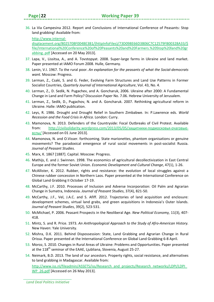36. La Via Campesina 2012. Report and Conclusions of International Conference of Peasants: Stop land grabbing! Available from:

[http://www.internal-](http://www.internal-displacement.org/8025708F004BE3B1/(httpInfoFiles)/73D098E66D3B06C7C12579FB00328A33/$file/International%20Conference%20of%20Peasants%20and%20Farmers.%20Stop%20land%20grabbing..pdf)

[displacement.org/8025708F004BE3B1/\(httpInfoFiles\)/73D098E66D3B06C7C12579FB00328A33/\\$](http://www.internal-displacement.org/8025708F004BE3B1/(httpInfoFiles)/73D098E66D3B06C7C12579FB00328A33/$file/International%20Conference%20of%20Peasants%20and%20Farmers.%20Stop%20land%20grabbing..pdf) [file/International%20Conference%20of%20Peasants%20and%20Farmers.%20Stop%20land%20gr](http://www.internal-displacement.org/8025708F004BE3B1/(httpInfoFiles)/73D098E66D3B06C7C12579FB00328A33/$file/International%20Conference%20of%20Peasants%20and%20Farmers.%20Stop%20land%20grabbing..pdf) [abbing..pdf](http://www.internal-displacement.org/8025708F004BE3B1/(httpInfoFiles)/73D098E66D3B06C7C12579FB00328A33/$file/International%20Conference%20of%20Peasants%20and%20Farmers.%20Stop%20land%20grabbing..pdf) [Accessed on 20 May 2013].

- 37. Lapa, V., Lissitsa, A., and A. Tovstopyat. 2008. Super-large farms in Ukraine and land market. Paper presented at IAMO Forum 2008. Hulle, Germany.
- 38. Lenin, V.I. 1967. To the rural poor. *An explanation for the peasants of what the Social-democrats want.* Moscow: Progress.
- 39. Lerman, Z., Csaki, S. and G. Feder, Evolving Farm Structures and Land Use Patterns in Former Socialist Countries, *Quarterly Journal of International Agriculture*, Vol. 43, No. 4.
- 40. Lerman, Z., D. Sedik, N. Pugachev, and A. Goncharuk, 2006. Ukraine after 2000: A Fundamental Change in Land and Farm Policy? Discussion Paper No. 7.06. Hebrew University of Jerusalem.
- 41. Lerman, Z., Sedik, D., Pugachov, N. and A. Goncharuk. 2007. Rethinking agricultural reform in Ukraine. Halle: IAMO publication.
- 42. Leys, R. 1986. Drought and Drought Relief in Southern Zimbabwe. In: P.Lawrence eds. *World Recession and the Food Crisis in Africa*. London: Curry.
- 43. Mamonova, N. 2013. Defenders of the Countryside: Focal Outbreaks of Civil Protest. Available from: [http://civilsolidarity.wordpress.com/2013/05/05/](http://civilsolidarity.wordpress.com/2013/05/05/%D0%B7%D0%B0%D1%89%D0%B8%D1%82%D0%BD%D0%B8%D0%BA%D0%B8-%D0%BF%D0%BE%D0%B4%D0%BC%D0%BE%D1%81%D0%BA%D0%BE%D0%B2%D1%8C%D1%8F-%D0%BE%D1%87%D0%B0%D0%B3%D0%BE%D0%B2%D1%8B%D0%B5-%D0%B2%D1%81%D0%BF%D1%8B/)защитники-подмосковья-очаговые[вспы](http://civilsolidarity.wordpress.com/2013/05/05/%D0%B7%D0%B0%D1%89%D0%B8%D1%82%D0%BD%D0%B8%D0%BA%D0%B8-%D0%BF%D0%BE%D0%B4%D0%BC%D0%BE%D1%81%D0%BA%D0%BE%D0%B2%D1%8C%D1%8F-%D0%BE%D1%87%D0%B0%D0%B3%D0%BE%D0%B2%D1%8B%D0%B5-%D0%B2%D1%81%D0%BF%D1%8B/)/ [Accessed on 01 June 2013].
- 44. Mamonova, N. and O.Visser. forthcoming. State marionettes, phantom organisations or genuine movements? The paradoxical emergence of rural social movements in post-socialist Russia. *Journal of Peasant Studies.*
- 45. Marx, K. 1867 [1887]. Capital. Moscow: Progress.
- 46. Mathijs, E. and J. Swinnen. 1998. The economics of agricultural decollectivization in East Central Europe and the former Soviet Union. *Economic Development and Cultural Change*, 47(1), 1-26.
- 47. McAllister, K. 2012. Rubber, rights and resistance: the evolution of local struggles against a Chinese rubber concession in Northern Laos. Paper presented at the International Conference on Global Land Grabbing II October 17‐19.
- 48. McCarthy, J.F. 2010. Processes of Inclusion and Adverse Incorporation: Oil Palm and Agrarian Change in Sumatra, Indonesia. *Journal of Peasant Studies*, 37(4), 821‐50.
- 49. McCarthy, J.F., Vel, J.A.C. and S. Afiff. 2012. Trajectories of land acquisition and enclosure: development schemes, virtual land grabs, and green acquisitions in Indonesia's Outer Islands. *Journal of Peasant Studies*, 39(2), 523-531.
- 50. McMichael, P. 2006. Peasant Prospects in the Neoliberal Age. *New Political Economy,* 11(3), 407- 418.
- 51. Mintz, S. and R. Price. 1973. *An Anthropological Approach to the Study of Afro-American History.*  New Haven: Yale University.
- 52. Mishra, D.K. 2011. Behind Dispossession: State, Land Grabbing and Agrarian Change in Rural Orissa. Paper presented at the International Conference on Global Land Grabbing 6-8 April.
- 53. Moroz, S. 2010. Changes in Rural Areas of Ukraine: Problems and Opportunities. Paper presented at the  $118<sup>th</sup>$  seminar of the EAAE, Ljubliana, Slovenia, August 25-27.
- 54. Neimark, B.D. 2013. The land of our ancestors. Property rights, social resistance, and alternatives to land grabbing in Madagascar. Available from: [http://www.iss.nl/fileadmin/ASSETS/iss/Research\\_and\\_projects/Research\\_networks/LDPI/LDPI\\_](http://www.iss.nl/fileadmin/ASSETS/iss/Research_and_projects/Research_networks/LDPI/LDPI_WP_26.pdf) [WP\\_26.pdf](http://www.iss.nl/fileadmin/ASSETS/iss/Research_and_projects/Research_networks/LDPI/LDPI_WP_26.pdf) [Accessed on 26 May 2013].

*Land Deal Politics Initiative*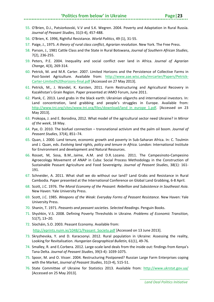#### **'Politics from below' in Ukraine**

- 55. O'Brien, D.J., Patsiorkovski, V.V and S.K. Wegren. 2004. Poverty and Adaptation in Rural Russia. *Journal of Peasant Studies,* 31(3-4), 457-488.
- 56. O'Brien, K. 1996, Rightful Resistance. *World Politics*, 49 (1), 31-55.
- 57. Paige, J., 1975. *A theory of rural class conflict, Agrarian revolution*. New York. The Free Press.
- 58. Parson, J., 1981 Cattle Class and the State in Rural Botswana, *Journal of Southern African Studies*, 7(2), 236-255.
- 59. Peters, P.E. 2004. Inequality and social conflict over land in Africa. *Journal of Agrarian Change*, 4(3), 269-314.
- 60. Petrick, M. and M.R. Carter. 2007. Limited Horizons and the Persistence of Collective Farms in Post-Soviet Agriculture. Available from: [http://www.aae.wisc.edu/mrcarter/Papers/Petrick-](http://www.aae.wisc.edu/mrcarter/Papers/Petrick-Carter-Limited%20horizons-final.pdf)[Carter-Limited%20horizons-final.pdf](http://www.aae.wisc.edu/mrcarter/Papers/Petrick-Carter-Limited%20horizons-final.pdf) [Accessed on 27 May 2013].
- 61. Petrick, M., J. Wandel, K. Karsten, 2011. Farm Restructuring and Agricultural Recovery in Kazakhstan's Grain Region. Paper presented at IAMO Forum, June 2011.
- 62. Plank, C. 2013. Land grabs in the black earth: Ukrainian oligarchs and international investors. In: Land concentration, land grabbing and people's struggles in Europe. Available from: [http://www.tni.org/sites/www.tni.org/files/download/land\\_in\\_europe\\_1.pdf.](http://www.tni.org/sites/www.tni.org/files/download/land_in_europe_1.pdf) [Accessed on 23 May 2013].
- 63. Prokopa, J. and E. Borodina, 2012. What model of the agricultural sector need Ukraine? in *Mirror of the week*, 18 May.
- 64. Pye, O. 2010. The biofuel connection transnational activism and the palm oil boom. *Journal of Peasant Studies*, 37(4), 851–74.
- 65. Quan, J. 2000. Land tenure, economic growth and poverty in Sub-Saharan Africa. In: C. Toulmin and J. Quan, eds. *Evolving land rights, policy and tenure in Africa.* London: International Institute for Environment and development and Natural Resources.
- 66. Rosset, M, Sosa, B.M., Jaime, A.M. and D.R. Lozano. 2011. The Campesinoto-Campesino Agroecology Movement of ANAP in Cuba: Social Process Methodology in the Construction of Sustainable Peasant Agriculture and Food Sovereignty. *Journal of Peasant Studies*, 38(1): 161- 191.
- 67. Schneider, A. 2011. What shall we do without our land? Land Grabs and Resistance in Rural Cambodia. Paper presented at the International Conference on Global Land Grabbing, 6-8 April.
- 68. Scott, J.C. 1976. *The Moral Economy of the Peasant: Rebellion and Subsistence in Southeast Asia*. New Haven: Yale University Press.
- 69. Scott, J.C. 1985. *Weapons of the Weak: Everyday Forms of Peasant Resistance.* New Haven: Yale University Press.
- 70. Shanin, T. 1971. *Peasants and peasant societies. Selected Readings*. Penguin Books.
- 71. Shyshkin, V.S. 2008. Defining Poverty Thresholds in Ukraine. *Problems of Economic Transition*, 51(7), 13–20.
- 72. Síocháin, S.O. 2003. Peasant Economy. Available from: [http://eprints.nuim.ie/1048/1/Peasant\\_Society.pdf](http://eprints.nuim.ie/1048/1/Peasant_Society.pdf) [Accessed on 13 June 2013].
- 73. Skryzhevska, Y. and D. Karacsonyi. 2012. Rural population in Ukraine: Assessing the reality, Looking for Revitalisation. *Hungarian Geographical Bulletin,* 61(1), 49-76.
- 74. Smalley, R. and E.Corbera. 2012. Large-scale land deals from the inside out: findings from Kenya's Tana Delta. *Journal of Peasant Studies*, 39(3-4): 1039-1075.
- 75. Spoor, M. and O. Visser. 2004. Restructuring Postponed? Russian Large Farm Enterprises coping with the Market, *Journal of Peasant Studies*, 31(3-4), 515-51.
- 76. State Committee of Ukraine for Statistics 2013. Available from: <http://www.ukrstat.gov.ua/> [Accessed on 25 May 2013].

*Land Deal Politics Initiative*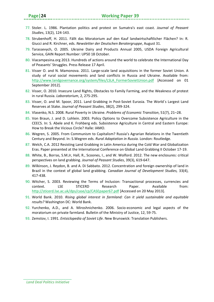- 77. Stoler. L. 1986. Plantation politics and protest on Sumatra's east coast. *Journal of Peasant Studies*, 13(2), 124-143.
- 78. Strubenhoff, H. 2011. Fällt das Moratorium auf den Kauf landwirtschaftlicher Flächen? In: R. Giucci and R. Kirchner, eds. *Newsletter der Deutschen Beratergruppe*, August 31.
- 79. Tarassevych, O. 2005. Ukraine Dairy and Products Annual 2005, USDA Foreign Agricultural Service, GAIN Report Number: UP50 18 October.
- 80. Viacampesina.org 2013. Hundreds of actions around the world to celebrate the International Day of Peasants' Struggles. Press Release 17 April.
- 81. Visser O. and N. Mamonova. 2011. Large-scale land acquisitions in the former Soviet Union. A study of rural social movements and land conflicts in Russia and Ukraine. Available from: [http://www.landgovernance.org/system/files/LSLA\\_FormerSovietUnion.pdf](http://www.landgovernance.org/system/files/LSLA_FormerSovietUnion.pdf) [Accessed on 01 September 2012].
- 82. Visser, O. 2010. Insecure Land Rights, Obstacles to Family Farming, and the Weakness of protest in rural Russia. *Laboratorium*, 2, 275-295.
- 83. Visser, O. and M. Spoor, 2011. Land Grabbing in Post-Soviet Eurasia. The World´s Largest Land Reserves at Stake. *Journal of Peasant Studies*, 38(2), 299-324.
- 84. Vlasenko, N.S. 2008. Rural Poverty in Ukraine. *Problems of Economic Transition*, 51(7), 21–28.
- 85. Von Braun, J. and D. Lohlein. 2003. Policy Options to Overcome Subsistence Agriculture in the CEECS. In: S. Abele and K. Frohberg eds. Subsistence Agriculture in Central and Eastern Europe: How to Break the Vicious Circle? Halle: IAMO.
- 86. Wegren, S. 2005. From Communism to Capitalism? Russia's Agrarian Relations in the Twentieth Century and Beyond. In: S.Wegren eds. *Rural Adaptation in Russia.* London: Routledge.
- 87. Welch, C.A. 2012 Resisting Land Grabbing in Latin America during the Cold War and Globalization Eras. Paper presented at the International Conference on Global Land Grabbing II October 17‐19.
- 88. White, B., Borras, S.M.Jr, Hall, R., Scoones, I., and W. Wolford. 2012. The new enclosures: critical perspectives on land grabbing. *Journal of Peasant Studies*, 39(3), 619-647.
- 89. Wilkinson, J. Reydon, B. and A. Di Sabbato. 2012. Concentration and foreign ownership of land in Brazil in the context of global land grabbing. *Canadian Journal of Development Studies,* 33(4), 417-438.
- 90. Witcher, S. 2003. Reviewing the Terms of Inclusion: Transactional processes, currencies and context. LSE STICERD Research Paper. Available from: <http://sticerd.lse.ac.uk/dps/case/cp/CASEpaper67.pdf> [Accessed on 20 May 2013].
- 91. World Bank. 2010. *Rising global interest in farmland: Can it yield sustainable and equitable results?* Washington DC: World Bank.
- 92. Yurchenko, A.D., and A. Miroshnichenko. 2006. Socio-economic and legal aspects of the moratorium on private farmland. Bulletin of the Ministry of Justice, 12, 59-75.
- 93. Zemstov, I. 1991. *Entsiclopedia of Soviet Life*. New Brunswick: Translation Publishers.